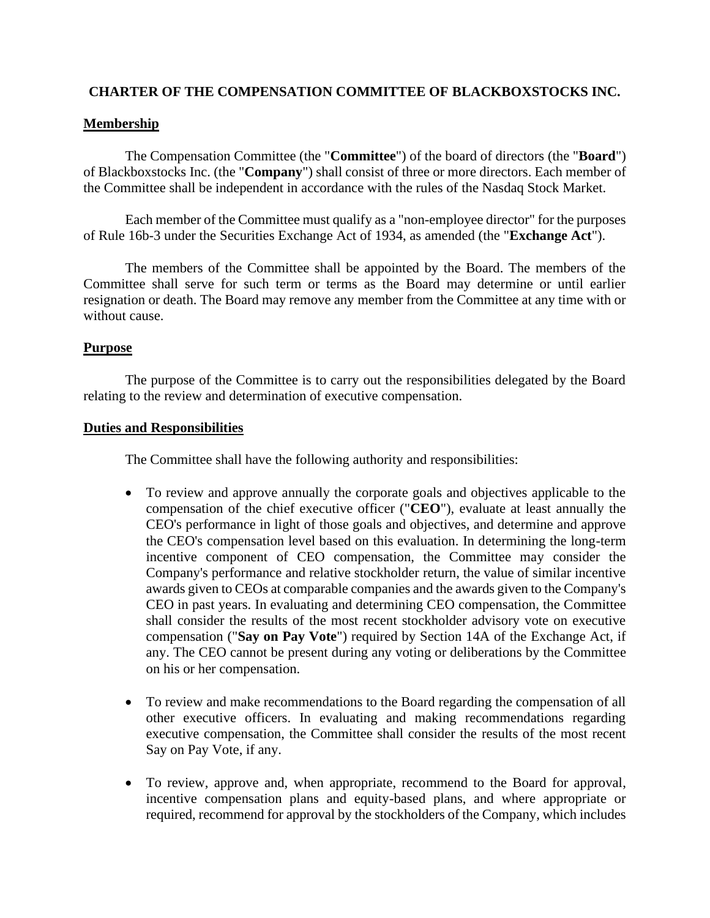# **CHARTER OF THE COMPENSATION COMMITTEE OF BLACKBOXSTOCKS INC.**

## **Membership**

The Compensation Committee (the "**Committee**") of the board of directors (the "**Board**") of Blackboxstocks Inc. (the "**Company**") shall consist of three or more directors. Each member of the Committee shall be independent in accordance with the rules of the Nasdaq Stock Market.

Each member of the Committee must qualify as a "non-employee director" for the purposes of Rule 16b-3 under the Securities Exchange Act of 1934, as amended (the "**Exchange Act**").

The members of the Committee shall be appointed by the Board. The members of the Committee shall serve for such term or terms as the Board may determine or until earlier resignation or death. The Board may remove any member from the Committee at any time with or without cause.

## **Purpose**

The purpose of the Committee is to carry out the responsibilities delegated by the Board relating to the review and determination of executive compensation.

#### **Duties and Responsibilities**

The Committee shall have the following authority and responsibilities:

- To review and approve annually the corporate goals and objectives applicable to the compensation of the chief executive officer ("**CEO**"), evaluate at least annually the CEO's performance in light of those goals and objectives, and determine and approve the CEO's compensation level based on this evaluation. In determining the long-term incentive component of CEO compensation, the Committee may consider the Company's performance and relative stockholder return, the value of similar incentive awards given to CEOs at comparable companies and the awards given to the Company's CEO in past years. In evaluating and determining CEO compensation, the Committee shall consider the results of the most recent stockholder advisory vote on executive compensation ("**Say on Pay Vote**") required by Section 14A of the Exchange Act, if any. The CEO cannot be present during any voting or deliberations by the Committee on his or her compensation.
- To review and make recommendations to the Board regarding the compensation of all other executive officers. In evaluating and making recommendations regarding executive compensation, the Committee shall consider the results of the most recent Say on Pay Vote, if any.
- To review, approve and, when appropriate, recommend to the Board for approval, incentive compensation plans and equity-based plans, and where appropriate or required, recommend for approval by the stockholders of the Company, which includes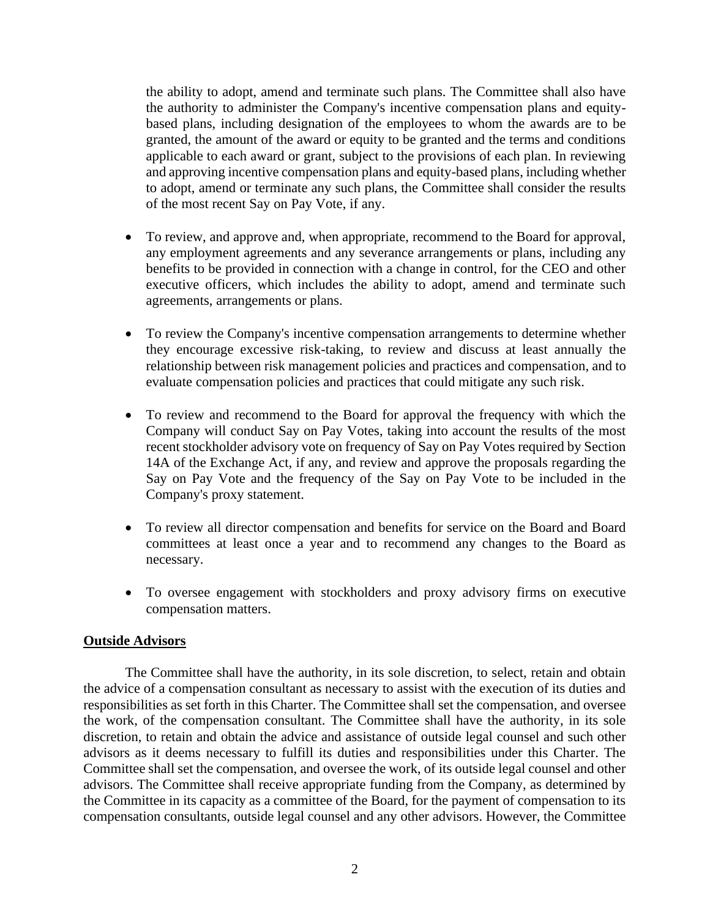the ability to adopt, amend and terminate such plans. The Committee shall also have the authority to administer the Company's incentive compensation plans and equitybased plans, including designation of the employees to whom the awards are to be granted, the amount of the award or equity to be granted and the terms and conditions applicable to each award or grant, subject to the provisions of each plan. In reviewing and approving incentive compensation plans and equity-based plans, including whether to adopt, amend or terminate any such plans, the Committee shall consider the results of the most recent Say on Pay Vote, if any.

- To review, and approve and, when appropriate, recommend to the Board for approval, any employment agreements and any severance arrangements or plans, including any benefits to be provided in connection with a change in control, for the CEO and other executive officers, which includes the ability to adopt, amend and terminate such agreements, arrangements or plans.
- To review the Company's incentive compensation arrangements to determine whether they encourage excessive risk-taking, to review and discuss at least annually the relationship between risk management policies and practices and compensation, and to evaluate compensation policies and practices that could mitigate any such risk.
- To review and recommend to the Board for approval the frequency with which the Company will conduct Say on Pay Votes, taking into account the results of the most recent stockholder advisory vote on frequency of Say on Pay Votes required by Section 14A of the Exchange Act, if any, and review and approve the proposals regarding the Say on Pay Vote and the frequency of the Say on Pay Vote to be included in the Company's proxy statement.
- To review all director compensation and benefits for service on the Board and Board committees at least once a year and to recommend any changes to the Board as necessary.
- To oversee engagement with stockholders and proxy advisory firms on executive compensation matters.

## **Outside Advisors**

The Committee shall have the authority, in its sole discretion, to select, retain and obtain the advice of a compensation consultant as necessary to assist with the execution of its duties and responsibilities as set forth in this Charter. The Committee shall set the compensation, and oversee the work, of the compensation consultant. The Committee shall have the authority, in its sole discretion, to retain and obtain the advice and assistance of outside legal counsel and such other advisors as it deems necessary to fulfill its duties and responsibilities under this Charter. The Committee shall set the compensation, and oversee the work, of its outside legal counsel and other advisors. The Committee shall receive appropriate funding from the Company, as determined by the Committee in its capacity as a committee of the Board, for the payment of compensation to its compensation consultants, outside legal counsel and any other advisors. However, the Committee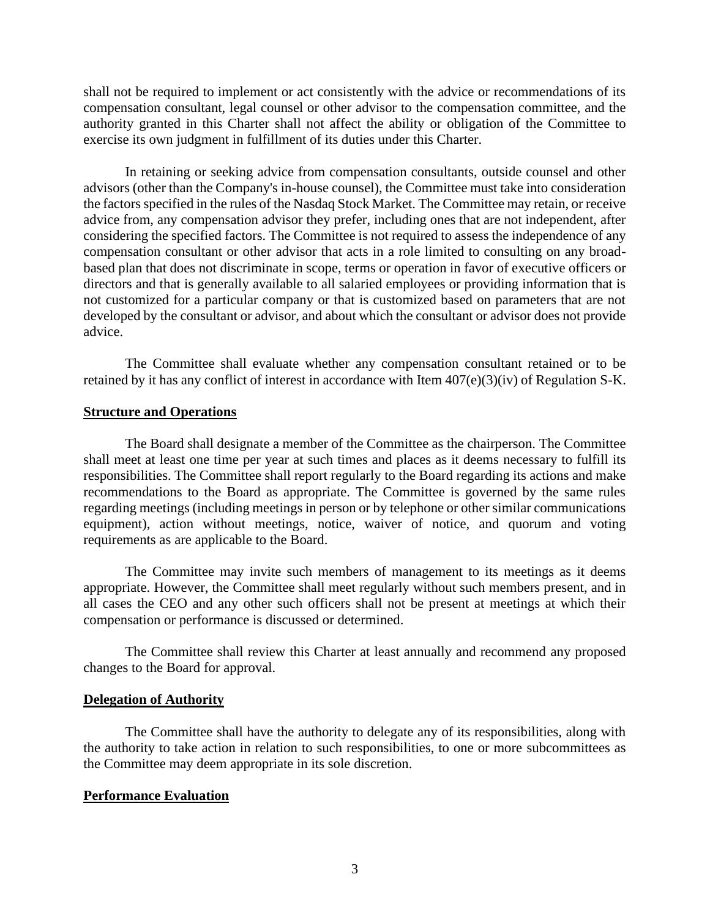shall not be required to implement or act consistently with the advice or recommendations of its compensation consultant, legal counsel or other advisor to the compensation committee, and the authority granted in this Charter shall not affect the ability or obligation of the Committee to exercise its own judgment in fulfillment of its duties under this Charter.

In retaining or seeking advice from compensation consultants, outside counsel and other advisors (other than the Company's in-house counsel), the Committee must take into consideration the factors specified in the rules of the Nasdaq Stock Market. The Committee may retain, or receive advice from, any compensation advisor they prefer, including ones that are not independent, after considering the specified factors. The Committee is not required to assess the independence of any compensation consultant or other advisor that acts in a role limited to consulting on any broadbased plan that does not discriminate in scope, terms or operation in favor of executive officers or directors and that is generally available to all salaried employees or providing information that is not customized for a particular company or that is customized based on parameters that are not developed by the consultant or advisor, and about which the consultant or advisor does not provide advice.

The Committee shall evaluate whether any compensation consultant retained or to be retained by it has any conflict of interest in accordance with Item 407(e)(3)(iv) of Regulation S-K.

#### **Structure and Operations**

The Board shall designate a member of the Committee as the chairperson. The Committee shall meet at least one time per year at such times and places as it deems necessary to fulfill its responsibilities. The Committee shall report regularly to the Board regarding its actions and make recommendations to the Board as appropriate. The Committee is governed by the same rules regarding meetings (including meetings in person or by telephone or other similar communications equipment), action without meetings, notice, waiver of notice, and quorum and voting requirements as are applicable to the Board.

The Committee may invite such members of management to its meetings as it deems appropriate. However, the Committee shall meet regularly without such members present, and in all cases the CEO and any other such officers shall not be present at meetings at which their compensation or performance is discussed or determined.

The Committee shall review this Charter at least annually and recommend any proposed changes to the Board for approval.

#### **Delegation of Authority**

The Committee shall have the authority to delegate any of its responsibilities, along with the authority to take action in relation to such responsibilities, to one or more subcommittees as the Committee may deem appropriate in its sole discretion.

#### **Performance Evaluation**